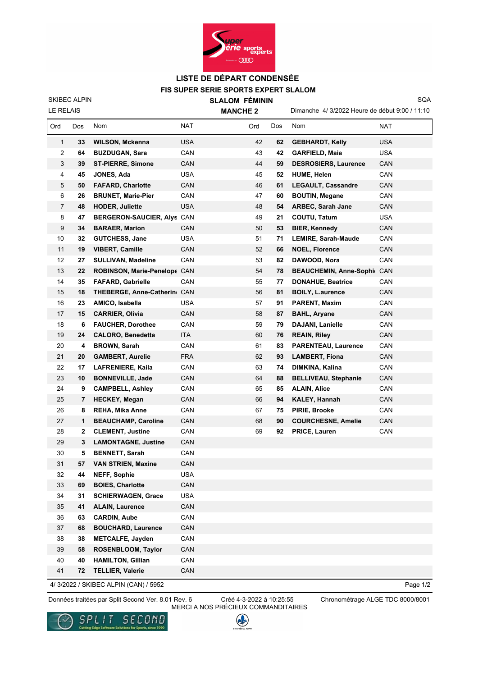

## **FIS SUPER SERIE SPORTS EXPERT SLALOM LISTE DE DÉPART CONDENSÉE**

LE RELAIS SKIBEC ALPIN  **SLALOM FÉMININ MANCHE 2**

Dimanche 4/ 3/2022 Heure de début 9:00 / 11:10 SQA

| Ord            | Dos | <b>Nom</b>                   | NAT        | Ord | Dos | Nom                         | NAT        |
|----------------|-----|------------------------------|------------|-----|-----|-----------------------------|------------|
| 1              | 33  | <b>WILSON, Mckenna</b>       | <b>USA</b> | 42  | 62  | <b>GEBHARDT, Kelly</b>      | <b>USA</b> |
| 2              | 64  | <b>BUZDUGAN, Sara</b>        | CAN        | 43  | 42  | <b>GARFIELD, Maia</b>       | USA        |
| 3              | 39  | <b>ST-PIERRE, Simone</b>     | CAN        | 44  | 59  | <b>DESROSIERS, Laurence</b> | CAN        |
| 4              | 45  | <b>JONES, Ada</b>            | <b>USA</b> | 45  | 52  | <b>HUME, Helen</b>          | CAN        |
| 5              | 50  | <b>FAFARD, Charlotte</b>     | CAN        | 46  | 61  | <b>LEGAULT, Cassandre</b>   | CAN        |
| 6              | 26  | <b>BRUNET, Marie-Pier</b>    | CAN        | 47  | 60  | <b>BOUTIN, Megane</b>       | CAN        |
| $\overline{7}$ | 48  | <b>HODER, Juliette</b>       | <b>USA</b> | 48  | 54  | <b>ARBEC, Sarah Jane</b>    | CAN        |
| 8              | 47  | BERGERON-SAUCIER, Alys CAN   |            | 49  | 21  | COUTU, Tatum                | <b>USA</b> |
| 9              | 34  | <b>BARAER, Marion</b>        | CAN        | 50  | 53  | <b>BIER, Kennedy</b>        | CAN        |
| 10             | 32  | <b>GUTCHESS, Jane</b>        | <b>USA</b> | 51  | 71  | <b>LEMIRE, Sarah-Maude</b>  | CAN        |
| 11             | 19  | <b>VIBERT, Camille</b>       | CAN        | 52  | 66  | <b>NOEL, Florence</b>       | <b>CAN</b> |
| 12             | 27  | <b>SULLIVAN, Madeline</b>    | CAN        | 53  | 82  | DAWOOD, Nora                | CAN        |
| 13             | 22  | ROBINSON, Marie-Penelope CAN |            | 54  | 78  | BEAUCHEMIN, Anne-Sophi( CAN |            |
| 14             | 35  | <b>FAFARD, Gabrielle</b>     | CAN        | 55  | 77  | <b>DONAHUE, Beatrice</b>    | CAN        |
| 15             | 18  | THEBERGE, Anne-Catherin CAN  |            | 56  | 81  | <b>BOILY, L.aurence</b>     | CAN        |
| 16             | 23  | AMICO, Isabella              | USA        | 57  | 91  | <b>PARENT, Maxim</b>        | CAN        |
| 17             | 15  | <b>CARRIER, Olivia</b>       | CAN        | 58  | 87  | <b>BAHL, Aryane</b>         | CAN        |
| 18             | 6   | <b>FAUCHER, Dorothee</b>     | CAN        | 59  | 79  | <b>DAJANI, Lanielle</b>     | CAN        |
| 19             | 24  | <b>CALORO, Benedetta</b>     | ITA        | 60  | 76  | <b>REAIN, Riley</b>         | CAN        |
| 20             | 4   | <b>BROWN, Sarah</b>          | CAN        | 61  | 83  | <b>PARENTEAU, Laurence</b>  | CAN        |
| 21             | 20  | <b>GAMBERT, Aurelie</b>      | <b>FRA</b> | 62  | 93  | <b>LAMBERT, Fiona</b>       | CAN        |
| 22             | 17  | <b>LAFRENIERE, Kaila</b>     | CAN        | 63  | 74  | DIMKINA, Kalina             | CAN        |
| 23             | 10  | <b>BONNEVILLE, Jade</b>      | CAN        | 64  | 88  | <b>BELLIVEAU, Stephanie</b> | CAN        |
| 24             | 9   | <b>CAMPBELL, Ashley</b>      | CAN        | 65  | 85  | <b>ALAIN, Alice</b>         | CAN        |
| 25             | 7   | <b>HECKEY, Megan</b>         | CAN        | 66  | 94  | <b>KALEY, Hannah</b>        | CAN        |
| 26             | 8   | <b>REHA, Mika Anne</b>       | CAN        | 67  | 75  | PIRIE, Brooke               | CAN        |
| 27             | 1   | <b>BEAUCHAMP, Caroline</b>   | CAN        | 68  | 90  | <b>COURCHESNE, Amelie</b>   | CAN        |
| 28             | 2   | <b>CLEMENT, Justine</b>      | CAN        | 69  | 92  | PRICE, Lauren               | CAN        |
| 29             | 3   | <b>LAMONTAGNE, Justine</b>   | CAN        |     |     |                             |            |
| 30             | 5   | <b>BENNETT, Sarah</b>        | CAN        |     |     |                             |            |
| 31             | 57  | <b>VAN STRIEN, Maxine</b>    | CAN        |     |     |                             |            |
| 32             | 44  | <b>NEFF, Sophie</b>          | <b>USA</b> |     |     |                             |            |
| 33             | 69  | <b>BOIES, Charlotte</b>      | CAN        |     |     |                             |            |
| 34             | 31  | <b>SCHIERWAGEN, Grace</b>    | <b>USA</b> |     |     |                             |            |
| 35             | 41  | <b>ALAIN, Laurence</b>       | CAN        |     |     |                             |            |
| 36             | 63  | <b>CARDIN, Aube</b>          | CAN        |     |     |                             |            |
| 37             | 68  | <b>BOUCHARD, Laurence</b>    | CAN        |     |     |                             |            |
| 38             | 38  | <b>METCALFE, Jayden</b>      | CAN        |     |     |                             |            |
| 39             | 58  | ROSENBLOOM, Taylor           | CAN        |     |     |                             |            |
| 40             | 40  | <b>HAMILTON, Gillian</b>     | CAN        |     |     |                             |            |
| 41             | 72  | <b>TELLIER, Valerie</b>      | CAN        |     |     |                             |            |

4/ 3/2022 / SKIBEC ALPIN (CAN) / 5952

Page 1/2

Données traitées par Split Second Ver. 8.01 Rev. 6 Chronométrage ALGE TDC 8000/8001

Créé 4-3-2022 à 10:25:55 MERCI A NOS PRÉCIEUX COMMANDITAIRES